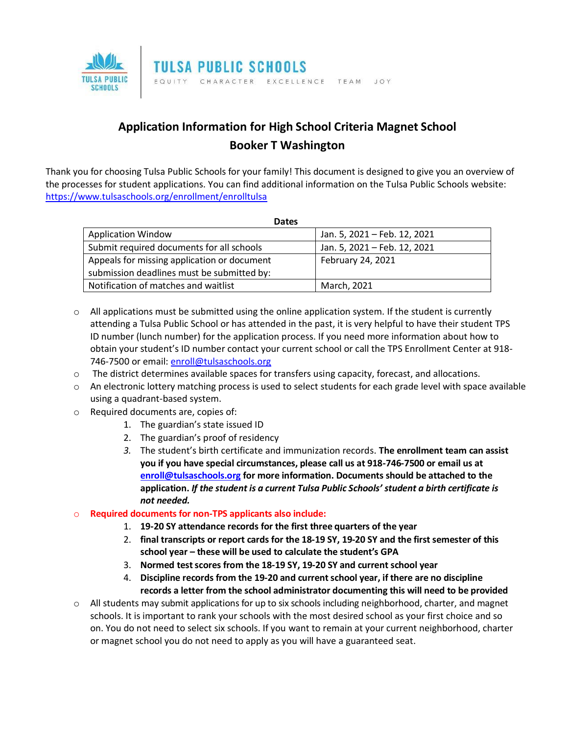

## **Application Information for High School Criteria Magnet School Booker T Washington**

Thank you for choosing Tulsa Public Schools for your family! This document is designed to give you an overview of the processes for student applications. You can find additional information on the Tulsa Public Schools website: <https://www.tulsaschools.org/enrollment/enrolltulsa>

| <b>Dates</b>                                |                              |
|---------------------------------------------|------------------------------|
| <b>Application Window</b>                   | Jan. 5, 2021 - Feb. 12, 2021 |
| Submit required documents for all schools   | Jan. 5, 2021 - Feb. 12, 2021 |
| Appeals for missing application or document | February 24, 2021            |
| submission deadlines must be submitted by:  |                              |
| Notification of matches and waitlist        | March, 2021                  |

- $\circ$  All applications must be submitted using the online application system. If the student is currently attending a Tulsa Public School or has attended in the past, it is very helpful to have their student TPS ID number (lunch number) for the application process. If you need more information about how to obtain your student's ID number contact your current school or call the TPS Enrollment Center at 918 746-7500 or email: [enroll@tulsaschools.org](mailto:enroll@tulsaschools.org)
- $\circ$  The district determines available spaces for transfers using capacity, forecast, and allocations.
- $\circ$  An electronic lottery matching process is used to select students for each grade level with space available using a quadrant-based system.
- o Required documents are, copies of:
	- 1. The guardian's state issued ID
	- 2. The guardian's proof of residency
	- *3.* The student's birth certificate and immunization records. **The enrollment team can assist you if you have special circumstances, please call us at 918-746-7500 or email us at [enroll@tulsaschools.org](mailto:enroll@tulsaschools.org) for more information. Documents should be attached to the application.** *If the student is a current Tulsa Public Schools' student a birth certificate is not needed.*

## o **Required documents for non-TPS applicants also include:**

- 1. **19-20 SY attendance records for the first three quarters of the year**
- 2. **final transcripts or report cards for the 18-19 SY, 19-20 SY and the first semester of this school year – these will be used to calculate the student's GPA**
- 3. **Normed test scores from the 18-19 SY, 19-20 SY and current school year**
- 4. **Discipline records from the 19-20 and current school year, if there are no discipline records a letter from the school administrator documenting this will need to be provided**
- $\circ$  All students may submit applications for up to six schools including neighborhood, charter, and magnet schools. It is important to rank your schools with the most desired school as your first choice and so on. You do not need to select six schools. If you want to remain at your current neighborhood, charter or magnet school you do not need to apply as you will have a guaranteed seat.